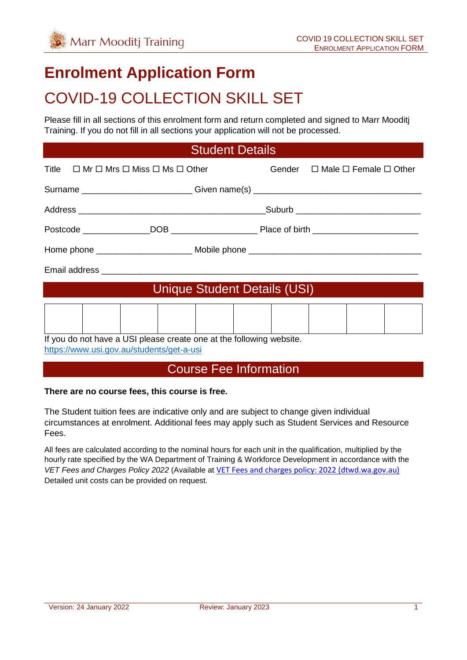# **Enrolment Application Form**

# COVID-19 COLLECTION SKILL SET

Please fill in all sections of this enrolment form and return completed and signed to Marr Mooditj Training. If you do not fill in all sections your application will not be processed.

#### Student Details

| Title $\Box$ Mr $\Box$ Mrs $\Box$ Miss $\Box$ Ms $\Box$ Other                    |                              |  |  | Gender $\Box$ Male $\Box$ Female $\Box$ Other |  |
|----------------------------------------------------------------------------------|------------------------------|--|--|-----------------------------------------------|--|
| Surname ____________________________Given name(s) ______________________________ |                              |  |  |                                               |  |
|                                                                                  |                              |  |  |                                               |  |
|                                                                                  |                              |  |  |                                               |  |
|                                                                                  |                              |  |  |                                               |  |
|                                                                                  |                              |  |  |                                               |  |
|                                                                                  | Unique Student Details (USI) |  |  |                                               |  |
|                                                                                  |                              |  |  |                                               |  |
| If you do not have a USI please create one at the following website.             |                              |  |  |                                               |  |

<https://www.usi.gov.au/students/get-a-usi>

### Course Fee Information

#### **There are no course fees, this course is free.**

The Student tuition fees are indicative only and are subject to change given individual circumstances at enrolment. Additional fees may apply such as Student Services and Resource Fees.

All fees are calculated according to the nominal hours for each unit in the qualification, multiplied by the hourly rate specified by the WA Department of Training & Workforce Development in accordance with the *VET Fees and Charges Policy 2022* (Available at [VET Fees and charges policy: 2022 \(dtwd.wa.gov.au\)](https://www.dtwd.wa.gov.au/sites/default/files/uploads/dtwd-vet-fees-and-charges-2022-v1.0.pdf) Detailed unit costs can be provided on request.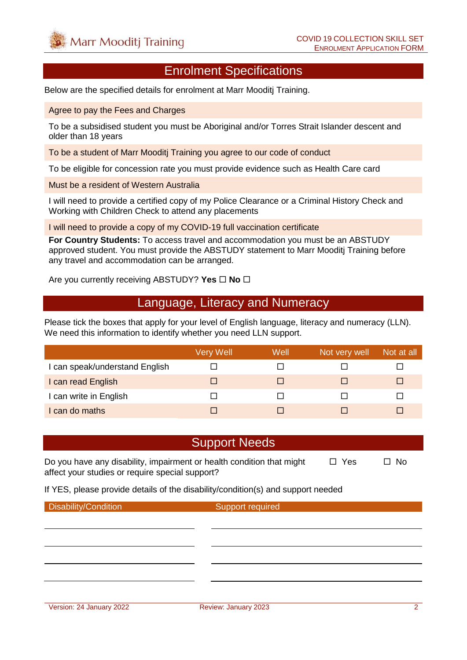#### Enrolment Specifications

Below are the specified details for enrolment at Marr Mooditj Training.

Agree to pay the Fees and Charges

To be a subsidised student you must be Aboriginal and/or Torres Strait Islander descent and older than 18 years

To be a student of Marr Mooditj Training you agree to our code of conduct

To be eligible for concession rate you must provide evidence such as Health Care card

Must be a resident of Western Australia

I will need to provide a certified copy of my Police Clearance or a Criminal History Check and Working with Children Check to attend any placements

I will need to provide a copy of my COVID-19 full vaccination certificate

**For Country Students:** To access travel and accommodation you must be an ABSTUDY approved student. You must provide the ABSTUDY statement to Marr Mooditj Training before any travel and accommodation can be arranged.

Are you currently receiving ABSTUDY? Yes  $\Box$  No  $\Box$ 

#### Language, Literacy and Numeracy

Please tick the boxes that apply for your level of English language, literacy and numeracy (LLN). We need this information to identify whether you need LLN support.

|                                | Very Well | Well | Not very well | Not at all |
|--------------------------------|-----------|------|---------------|------------|
| I can speak/understand English |           |      |               |            |
| I can read English             |           |      |               |            |
| I can write in English         |           |      |               |            |
| I can do maths                 |           |      |               |            |

#### Support Needs

Do you have any disability, impairment or health condition that might  $\Box$  Yes  $\Box$  No affect your studies or require special support?

If YES, please provide details of the disability/condition(s) and support needed

**Disability/Condition** Support required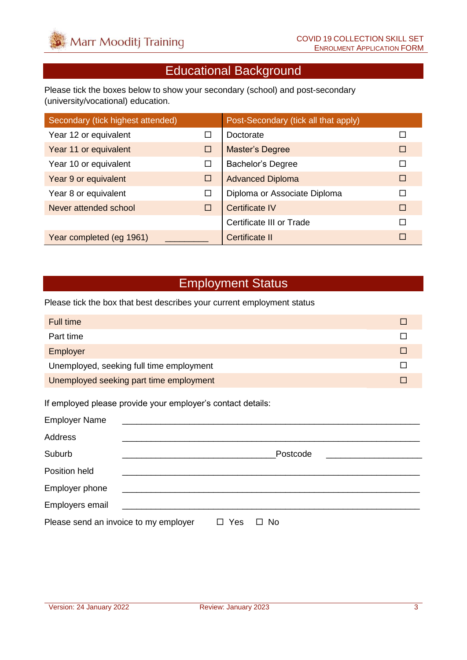## Educational Background

Please tick the boxes below to show your secondary (school) and post-secondary (university/vocational) education.

| Secondary (tick highest attended) |   | Post-Secondary (tick all that apply) |        |
|-----------------------------------|---|--------------------------------------|--------|
| Year 12 or equivalent             | □ | Doctorate                            |        |
| Year 11 or equivalent             | □ | Master's Degree                      | □      |
| Year 10 or equivalent             | □ | <b>Bachelor's Degree</b>             | г      |
| Year 9 or equivalent              | □ | <b>Advanced Diploma</b>              | $\Box$ |
| Year 8 or equivalent              | □ | Diploma or Associate Diploma         | П      |
| Never attended school             | □ | Certificate IV                       | П      |
|                                   |   | Certificate III or Trade             | П      |
| Year completed (eg 1961)          |   | Certificate II                       | П      |

### Employment Status

Please tick the box that best describes your current employment status

| Full time                                |  |
|------------------------------------------|--|
| Part time                                |  |
| Employer                                 |  |
| Unemployed, seeking full time employment |  |
| Unemployed seeking part time employment  |  |

If employed please provide your employer's contact details:

| <b>Employer Name</b>                  |                                                      |                     |                |  |
|---------------------------------------|------------------------------------------------------|---------------------|----------------|--|
| <b>Address</b>                        |                                                      |                     |                |  |
| Suburb                                |                                                      |                     | Postcode       |  |
| Position held                         |                                                      |                     |                |  |
| Employer phone                        |                                                      |                     |                |  |
| Employers email                       | <u> 1980 - Jan Samuel Sand, amerikan berlandar (</u> |                     |                |  |
| Please send an invoice to my employer |                                                      | Yes<br>$\mathbf{1}$ | <b>No</b><br>П |  |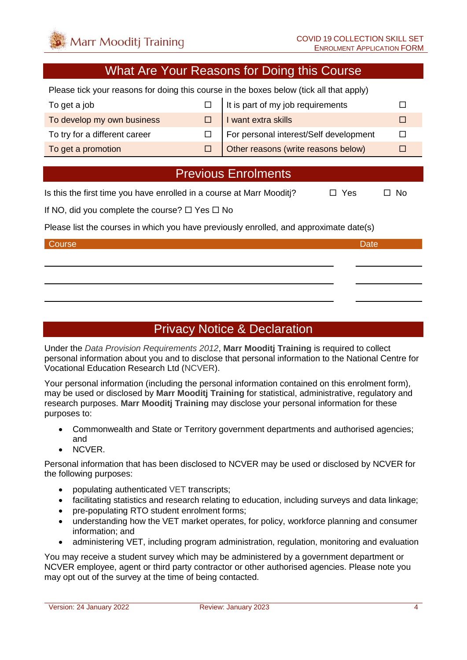#### What Are Your Reasons for Doing this Course

Please tick your reasons for doing this course in the boxes below (tick all that apply)

| To get a job                  | It is part of my job requirements      |  |
|-------------------------------|----------------------------------------|--|
| To develop my own business    | I want extra skills                    |  |
| To try for a different career | For personal interest/Self development |  |
| To get a promotion            | Other reasons (write reasons below)    |  |

### Previous Enrolments

Is this the first time you have enrolled in a course at Marr Mooditi?  $\Box$  Yes  $\Box$  No

If NO, did you complete the course?  $\Box$  Yes  $\Box$  No

Please list the courses in which you have previously enrolled, and approximate date(s)

#### Course **Date** Date of the Course of the Course of the Course of the Course of the Date Date

## Privacy Notice & Declaration

Under the *Data Provision Requirements 2012*, **Marr Mooditj Training** is required to collect personal information about you and to disclose that personal information to the National Centre for Vocational Education Research Ltd (NCVER).

Your personal information (including the personal information contained on this enrolment form), may be used or disclosed by **Marr Mooditj Training** for statistical, administrative, regulatory and research purposes. **Marr Mooditj Training** may disclose your personal information for these purposes to:

- Commonwealth and State or Territory government departments and authorised agencies; and
- NCVER.

Personal information that has been disclosed to NCVER may be used or disclosed by NCVER for the following purposes:

- populating authenticated VET transcripts;
- facilitating statistics and research relating to education, including surveys and data linkage;
- pre-populating RTO student enrolment forms;
- understanding how the VET market operates, for policy, workforce planning and consumer information; and
- administering VET, including program administration, regulation, monitoring and evaluation

You may receive a student survey which may be administered by a government department or NCVER employee, agent or third party contractor or other authorised agencies. Please note you may opt out of the survey at the time of being contacted.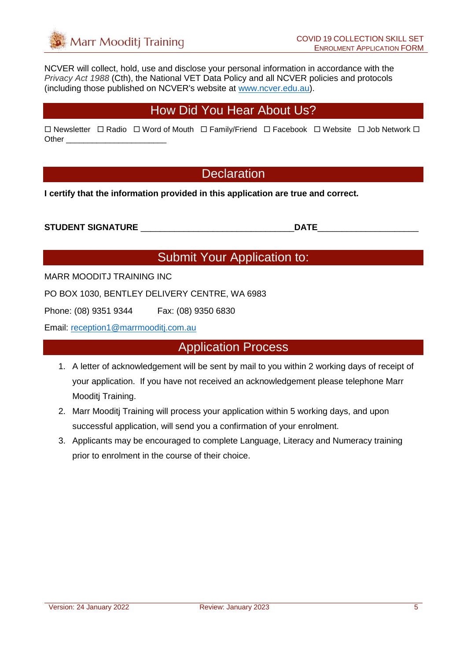NCVER will collect, hold, use and disclose your personal information in accordance with the *Privacy Act 1988* (Cth), the National VET Data Policy and all NCVER policies and protocols (including those published on NCVER's website at [www.ncver.edu.au\)](http://www.ncver.edu.au/).

### How Did You Hear About Us?

|       | □ Newsletter □ Radio □ Word of Mouth □ Family/Friend □ Facebook □ Website □ Job Network □ |  |  |
|-------|-------------------------------------------------------------------------------------------|--|--|
| Other |                                                                                           |  |  |

### **Declaration**

**I certify that the information provided in this application are true and correct.**

**STUDENT SIGNATURE** \_\_\_\_\_\_\_\_\_\_\_\_\_\_\_\_\_\_\_\_\_\_\_\_\_\_\_\_\_\_\_\_**DATE**\_\_\_\_\_\_\_\_\_\_\_\_\_\_\_\_\_\_\_\_\_

### Submit Your Application to:

MARR MOODITJ TRAINING INC

PO BOX 1030, BENTLEY DELIVERY CENTRE, WA 6983

Phone: (08) 9351 9344 Fax: (08) 9350 6830

Email: [reception1@marrmooditj.com.au](mailto:reception1@marrmooditj.com.au)

#### Application Process

- 1. A letter of acknowledgement will be sent by mail to you within 2 working days of receipt of your application. If you have not received an acknowledgement please telephone Marr Mooditi Training.
- 2. Marr Mooditj Training will process your application within 5 working days, and upon successful application, will send you a confirmation of your enrolment.
- 3. Applicants may be encouraged to complete Language, Literacy and Numeracy training prior to enrolment in the course of their choice.